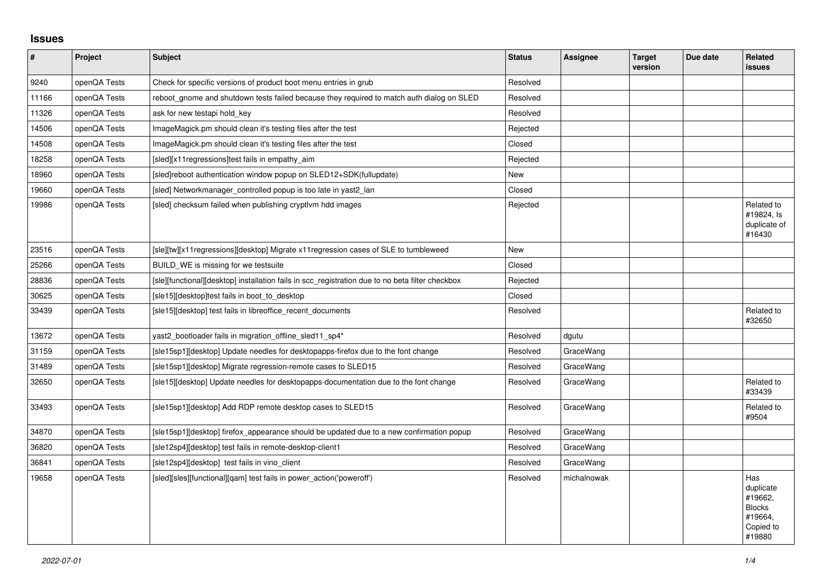## **Issues**

| $\vert$ # | Project      | <b>Subject</b>                                                                                   | <b>Status</b> | Assignee    | <b>Target</b><br>version | Due date | <b>Related</b><br><b>issues</b>                                                |
|-----------|--------------|--------------------------------------------------------------------------------------------------|---------------|-------------|--------------------------|----------|--------------------------------------------------------------------------------|
| 9240      | openQA Tests | Check for specific versions of product boot menu entries in grub                                 | Resolved      |             |                          |          |                                                                                |
| 11166     | openQA Tests | reboot_gnome and shutdown tests failed because they required to match auth dialog on SLED        | Resolved      |             |                          |          |                                                                                |
| 11326     | openQA Tests | ask for new testapi hold key                                                                     | Resolved      |             |                          |          |                                                                                |
| 14506     | openQA Tests | ImageMagick.pm should clean it's testing files after the test                                    | Rejected      |             |                          |          |                                                                                |
| 14508     | openQA Tests | ImageMagick.pm should clean it's testing files after the test                                    | Closed        |             |                          |          |                                                                                |
| 18258     | openQA Tests | [sled][x11 regressions]test fails in empathy_aim                                                 | Rejected      |             |                          |          |                                                                                |
| 18960     | openQA Tests | [sled]reboot authentication window popup on SLED12+SDK(fullupdate)                               | New           |             |                          |          |                                                                                |
| 19660     | openQA Tests | [sled] Networkmanager_controlled popup is too late in yast2_lan                                  | Closed        |             |                          |          |                                                                                |
| 19986     | openQA Tests | [sled] checksum failed when publishing cryptivm hdd images                                       | Rejected      |             |                          |          | Related to<br>#19824, Is<br>duplicate of<br>#16430                             |
| 23516     | openQA Tests | [sle][tw][x11regressions][desktop] Migrate x11regression cases of SLE to tumbleweed              | New           |             |                          |          |                                                                                |
| 25266     | openQA Tests | BUILD WE is missing for we testsuite                                                             | Closed        |             |                          |          |                                                                                |
| 28836     | openQA Tests | [sle][functional][desktop] installation fails in scc_registration due to no beta filter checkbox | Rejected      |             |                          |          |                                                                                |
| 30625     | openQA Tests | [sle15][desktop]test fails in boot to desktop                                                    | Closed        |             |                          |          |                                                                                |
| 33439     | openQA Tests | [sle15][desktop] test fails in libreoffice_recent_documents                                      | Resolved      |             |                          |          | Related to<br>#32650                                                           |
| 13672     | openQA Tests | yast2_bootloader fails in migration_offline_sled11_sp4*                                          | Resolved      | dgutu       |                          |          |                                                                                |
| 31159     | openQA Tests | [sle15sp1][desktop] Update needles for desktopapps-firefox due to the font change                | Resolved      | GraceWang   |                          |          |                                                                                |
| 31489     | openQA Tests | [sle15sp1][desktop] Migrate regression-remote cases to SLED15                                    | Resolved      | GraceWang   |                          |          |                                                                                |
| 32650     | openQA Tests | [sle15][desktop] Update needles for desktopapps-documentation due to the font change             | Resolved      | GraceWang   |                          |          | Related to<br>#33439                                                           |
| 33493     | openQA Tests | [sle15sp1][desktop] Add RDP remote desktop cases to SLED15                                       | Resolved      | GraceWang   |                          |          | Related to<br>#9504                                                            |
| 34870     | openQA Tests | [sle15sp1][desktop] firefox appearance should be updated due to a new confirmation popup         | Resolved      | GraceWang   |                          |          |                                                                                |
| 36820     | openQA Tests | [sle12sp4][desktop] test fails in remote-desktop-client1                                         | Resolved      | GraceWang   |                          |          |                                                                                |
| 36841     | openQA Tests | [sle12sp4][desktop] test fails in vino client                                                    | Resolved      | GraceWang   |                          |          |                                                                                |
| 19658     | openQA Tests | [sled][sles][functional][qam] test fails in power_action('poweroff')                             | Resolved      | michalnowak |                          |          | Has<br>duplicate<br>#19662.<br><b>Blocks</b><br>#19664,<br>Copied to<br>#19880 |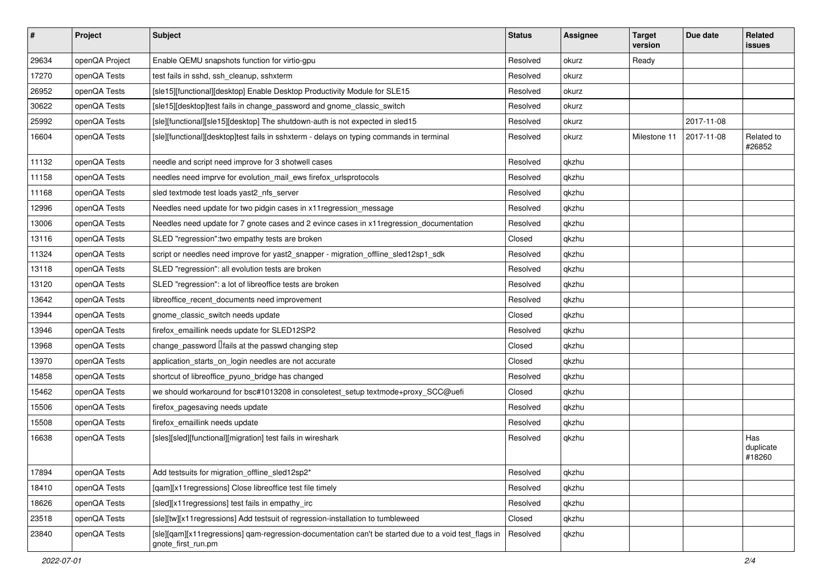| $\vert$ # | Project        | <b>Subject</b>                                                                                                             | <b>Status</b> | <b>Assignee</b> | <b>Target</b><br>version | Due date   | Related<br><b>issues</b>   |
|-----------|----------------|----------------------------------------------------------------------------------------------------------------------------|---------------|-----------------|--------------------------|------------|----------------------------|
| 29634     | openQA Project | Enable QEMU snapshots function for virtio-gpu                                                                              | Resolved      | okurz           | Ready                    |            |                            |
| 17270     | openQA Tests   | test fails in sshd, ssh cleanup, sshxterm                                                                                  | Resolved      | okurz           |                          |            |                            |
| 26952     | openQA Tests   | [sle15][functional][desktop] Enable Desktop Productivity Module for SLE15                                                  | Resolved      | okurz           |                          |            |                            |
| 30622     | openQA Tests   | [sle15][desktop]test fails in change_password and gnome_classic_switch                                                     | Resolved      | okurz           |                          |            |                            |
| 25992     | openQA Tests   | [sle][functional][sle15][desktop] The shutdown-auth is not expected in sled15                                              | Resolved      | okurz           |                          | 2017-11-08 |                            |
| 16604     | openQA Tests   | [sle][functional][desktop]test fails in sshxterm - delays on typing commands in terminal                                   | Resolved      | okurz           | Milestone 11             | 2017-11-08 | Related to<br>#26852       |
| 11132     | openQA Tests   | needle and script need improve for 3 shotwell cases                                                                        | Resolved      | qkzhu           |                          |            |                            |
| 11158     | openQA Tests   | needles need imprve for evolution_mail_ews firefox_urlsprotocols                                                           | Resolved      | qkzhu           |                          |            |                            |
| 11168     | openQA Tests   | sled textmode test loads yast2_nfs_server                                                                                  | Resolved      | qkzhu           |                          |            |                            |
| 12996     | openQA Tests   | Needles need update for two pidgin cases in x11 regression_message                                                         | Resolved      | qkzhu           |                          |            |                            |
| 13006     | openQA Tests   | Needles need update for 7 gnote cases and 2 evince cases in x11 regression_documentation                                   | Resolved      | qkzhu           |                          |            |                            |
| 13116     | openQA Tests   | SLED "regression": two empathy tests are broken                                                                            | Closed        | qkzhu           |                          |            |                            |
| 11324     | openQA Tests   | script or needles need improve for yast2_snapper - migration_offline_sled12sp1_sdk                                         | Resolved      | qkzhu           |                          |            |                            |
| 13118     | openQA Tests   | SLED "regression": all evolution tests are broken                                                                          | Resolved      | qkzhu           |                          |            |                            |
| 13120     | openQA Tests   | SLED "regression": a lot of libreoffice tests are broken                                                                   | Resolved      | qkzhu           |                          |            |                            |
| 13642     | openQA Tests   | libreoffice_recent_documents need improvement                                                                              | Resolved      | qkzhu           |                          |            |                            |
| 13944     | openQA Tests   | gnome classic switch needs update                                                                                          | Closed        | qkzhu           |                          |            |                            |
| 13946     | openQA Tests   | firefox_emaillink needs update for SLED12SP2                                                                               | Resolved      | qkzhu           |                          |            |                            |
| 13968     | openQA Tests   | change_password <i>liails</i> at the passwd changing step                                                                  | Closed        | qkzhu           |                          |            |                            |
| 13970     | openQA Tests   | application_starts_on_login needles are not accurate                                                                       | Closed        | qkzhu           |                          |            |                            |
| 14858     | openQA Tests   | shortcut of libreoffice_pyuno_bridge has changed                                                                           | Resolved      | qkzhu           |                          |            |                            |
| 15462     | openQA Tests   | we should workaround for bsc#1013208 in consoletest_setup textmode+proxy_SCC@uefi                                          | Closed        | qkzhu           |                          |            |                            |
| 15506     | openQA Tests   | firefox_pagesaving needs update                                                                                            | Resolved      | qkzhu           |                          |            |                            |
| 15508     | openQA Tests   | firefox_emaillink needs update                                                                                             | Resolved      | qkzhu           |                          |            |                            |
| 16638     | openQA Tests   | [sles][sled][functional][migration] test fails in wireshark                                                                | Resolved      | qkzhu           |                          |            | Has<br>duplicate<br>#18260 |
| 17894     | openQA Tests   | Add testsuits for migration_offline_sled12sp2*                                                                             | Resolved      | qkzhu           |                          |            |                            |
| 18410     | openQA Tests   | [qam][x11regressions] Close libreoffice test file timely                                                                   | Resolved      | qkzhu           |                          |            |                            |
| 18626     | openQA Tests   | [sled][x11regressions] test fails in empathy_irc                                                                           | Resolved      | qkzhu           |                          |            |                            |
| 23518     | openQA Tests   | [sle][tw][x11regressions] Add testsuit of regression-installation to tumbleweed                                            | Closed        | qkzhu           |                          |            |                            |
| 23840     | openQA Tests   | [sle][qam][x11regressions] qam-regression-documentation can't be started due to a void test_flags in<br>gnote_first_run.pm | Resolved      | qkzhu           |                          |            |                            |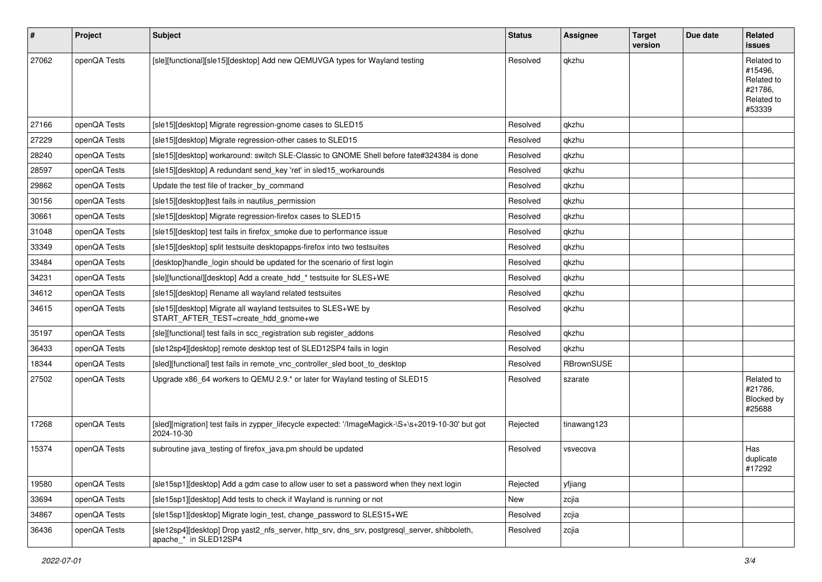| #     | Project      | <b>Subject</b>                                                                                                        | <b>Status</b> | <b>Assignee</b> | <b>Target</b><br>version | Due date | Related<br>issues                                                      |
|-------|--------------|-----------------------------------------------------------------------------------------------------------------------|---------------|-----------------|--------------------------|----------|------------------------------------------------------------------------|
| 27062 | openQA Tests | [sle][functional][sle15][desktop] Add new QEMUVGA types for Wayland testing                                           | Resolved      | qkzhu           |                          |          | Related to<br>#15496,<br>Related to<br>#21786,<br>Related to<br>#53339 |
| 27166 | openQA Tests | [sle15][desktop] Migrate regression-gnome cases to SLED15                                                             | Resolved      | qkzhu           |                          |          |                                                                        |
| 27229 | openQA Tests | [sle15][desktop] Migrate regression-other cases to SLED15                                                             | Resolved      | qkzhu           |                          |          |                                                                        |
| 28240 | openQA Tests | [sle15][desktop] workaround: switch SLE-Classic to GNOME Shell before fate#324384 is done                             | Resolved      | qkzhu           |                          |          |                                                                        |
| 28597 | openQA Tests | [sle15][desktop] A redundant send key 'ret' in sled15 workarounds                                                     | Resolved      | qkzhu           |                          |          |                                                                        |
| 29862 | openQA Tests | Update the test file of tracker_by_command                                                                            | Resolved      | qkzhu           |                          |          |                                                                        |
| 30156 | openQA Tests | [sle15][desktop]test fails in nautilus_permission                                                                     | Resolved      | qkzhu           |                          |          |                                                                        |
| 30661 | openQA Tests | [sle15][desktop] Migrate regression-firefox cases to SLED15                                                           | Resolved      | qkzhu           |                          |          |                                                                        |
| 31048 | openQA Tests | [sle15][desktop] test fails in firefox_smoke due to performance issue                                                 | Resolved      | qkzhu           |                          |          |                                                                        |
| 33349 | openQA Tests | [sle15][desktop] split testsuite desktopapps-firefox into two testsuites                                              | Resolved      | qkzhu           |                          |          |                                                                        |
| 33484 | openQA Tests | [desktop]handle_login should be updated for the scenario of first login                                               | Resolved      | qkzhu           |                          |          |                                                                        |
| 34231 | openQA Tests | [sle][functional][desktop] Add a create_hdd_* testsuite for SLES+WE                                                   | Resolved      | qkzhu           |                          |          |                                                                        |
| 34612 | openQA Tests | [sle15][desktop] Rename all wayland related testsuites                                                                | Resolved      | qkzhu           |                          |          |                                                                        |
| 34615 | openQA Tests | [sle15][desktop] Migrate all wayland testsuites to SLES+WE by<br>START_AFTER_TEST=create_hdd_gnome+we                 | Resolved      | qkzhu           |                          |          |                                                                        |
| 35197 | openQA Tests | [sle][functional] test fails in scc_registration sub register_addons                                                  | Resolved      | qkzhu           |                          |          |                                                                        |
| 36433 | openQA Tests | [sle12sp4][desktop] remote desktop test of SLED12SP4 fails in login                                                   | Resolved      | qkzhu           |                          |          |                                                                        |
| 18344 | openQA Tests | [sled][functional] test fails in remote vnc controller sled boot to desktop                                           | Resolved      | RBrownSUSE      |                          |          |                                                                        |
| 27502 | openQA Tests | Upgrade x86_64 workers to QEMU 2.9.* or later for Wayland testing of SLED15                                           | Resolved      | szarate         |                          |          | Related to<br>#21786,<br>Blocked by<br>#25688                          |
| 17268 | openQA Tests | [sled][migration] test fails in zypper_lifecycle expected: '/ImageMagick-\S+\s+2019-10-30' but got<br>2024-10-30      | Rejected      | tinawang123     |                          |          |                                                                        |
| 15374 | openQA Tests | subroutine java_testing of firefox_java.pm should be updated                                                          | Resolved      | vsvecova        |                          |          | Has<br>duplicate<br>#17292                                             |
| 19580 | openQA Tests | [sle15sp1][desktop] Add a gdm case to allow user to set a password when they next login                               | Rejected      | yfjiang         |                          |          |                                                                        |
| 33694 | openQA Tests | [sle15sp1][desktop] Add tests to check if Wayland is running or not                                                   | New           | zcjia           |                          |          |                                                                        |
| 34867 | openQA Tests | [sle15sp1][desktop] Migrate login test, change password to SLES15+WE                                                  | Resolved      | zcjia           |                          |          |                                                                        |
| 36436 | openQA Tests | [sle12sp4][desktop] Drop yast2_nfs_server, http_srv, dns_srv, postgresql_server, shibboleth,<br>apache_* in SLED12SP4 | Resolved      | zcjia           |                          |          |                                                                        |